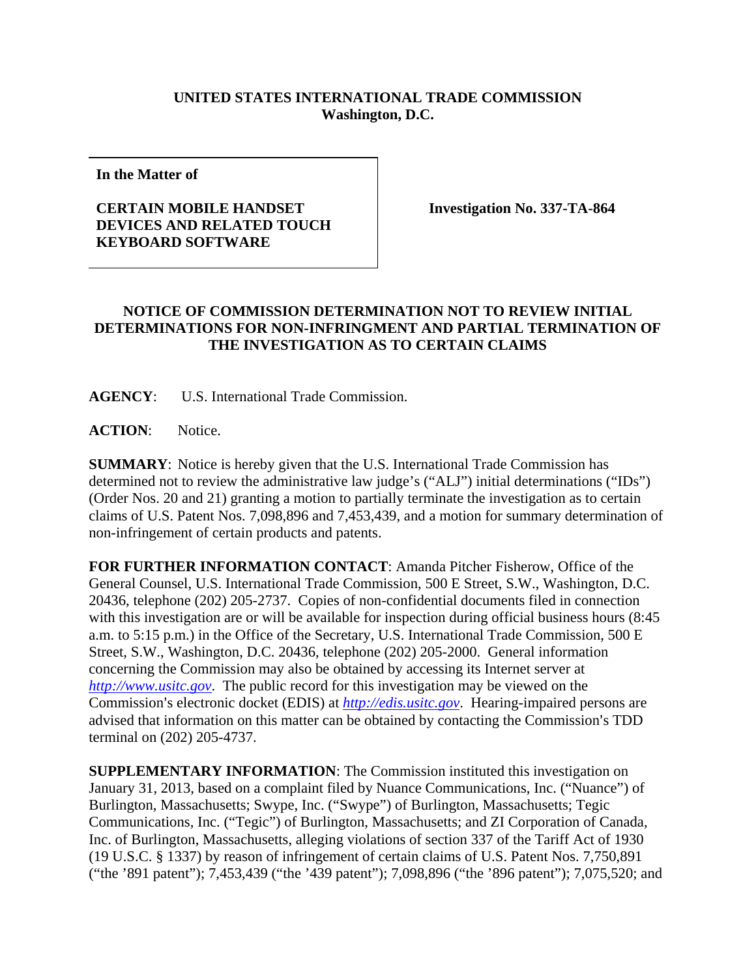## **UNITED STATES INTERNATIONAL TRADE COMMISSION Washington, D.C.**

**In the Matter of** 

## **CERTAIN MOBILE HANDSET DEVICES AND RELATED TOUCH KEYBOARD SOFTWARE**

**Investigation No. 337-TA-864** 

## **NOTICE OF COMMISSION DETERMINATION NOT TO REVIEW INITIAL DETERMINATIONS FOR NON-INFRINGMENT AND PARTIAL TERMINATION OF THE INVESTIGATION AS TO CERTAIN CLAIMS**

**AGENCY**: U.S. International Trade Commission.

**ACTION**: Notice.

**SUMMARY**: Notice is hereby given that the U.S. International Trade Commission has determined not to review the administrative law judge's ("ALJ") initial determinations ("IDs") (Order Nos. 20 and 21) granting a motion to partially terminate the investigation as to certain claims of U.S. Patent Nos. 7,098,896 and 7,453,439, and a motion for summary determination of non-infringement of certain products and patents.

**FOR FURTHER INFORMATION CONTACT**: Amanda Pitcher Fisherow, Office of the General Counsel, U.S. International Trade Commission, 500 E Street, S.W., Washington, D.C. 20436, telephone (202) 205-2737. Copies of non-confidential documents filed in connection with this investigation are or will be available for inspection during official business hours (8:45) a.m. to 5:15 p.m.) in the Office of the Secretary, U.S. International Trade Commission, 500 E Street, S.W., Washington, D.C. 20436, telephone (202) 205-2000. General information concerning the Commission may also be obtained by accessing its Internet server at *http://www.usitc.gov*. The public record for this investigation may be viewed on the Commission's electronic docket (EDIS) at *http://edis.usitc.gov*. Hearing-impaired persons are advised that information on this matter can be obtained by contacting the Commission's TDD terminal on (202) 205-4737.

**SUPPLEMENTARY INFORMATION**: The Commission instituted this investigation on January 31, 2013, based on a complaint filed by Nuance Communications, Inc. ("Nuance") of Burlington, Massachusetts; Swype, Inc. ("Swype") of Burlington, Massachusetts; Tegic Communications, Inc. ("Tegic") of Burlington, Massachusetts; and ZI Corporation of Canada, Inc. of Burlington, Massachusetts, alleging violations of section 337 of the Tariff Act of 1930 (19 U.S.C. § 1337) by reason of infringement of certain claims of U.S. Patent Nos. 7,750,891 ("the '891 patent"); 7,453,439 ("the '439 patent"); 7,098,896 ("the '896 patent"); 7,075,520; and